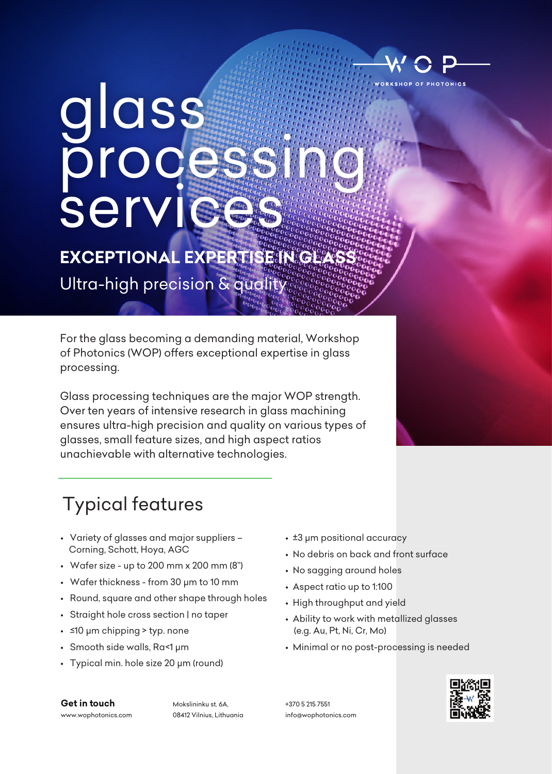

glass processi serv

**EXCEPTIONAL EXPERTISE IN GLASS** 

Ultra-high precision & quality

For the glass becoming a demanding material, Workshop of Photonics (WOP) offers exceptional expertise in glass processing.

Glass processing techniques are the major WOP strength. Over ten years of intensive research in glass machining ensures ultra-high precision and quality on various types of glasses, small feature sizes, and high aspect ratios unachievable with alternative technologies.

## Typical features

- Variety of glasses and major suppliers Corning, Schott, Hoya, AGC
- Wafer size up to 200 mm x 200 mm (8")
- Wafer thickness from 30 µm to 10 mm
- Round, square and other shape through holes
- Straight hole cross section | no taper
- ≤10 µm chipping > typ. none
- Smooth side walls, Ra<1 µm
- Typical min. hole size 20 µm (round)
- ±3 µm positional accuracy
- No debris on back and front surface
- No sagging around holes
- Aspect ratio up to 1:100
- High throughput and yield
- Ability to work with metallized glasses (e.g. Au, Pt, Ni, Cr, Mo)
- Minimal or no post-processing is needed

**Get in touch** www.wophotonics.com

Mokslininku st. 6A, 08412 Vilnius, Lithuania +370 5 215 7551 info@wophotonics.com